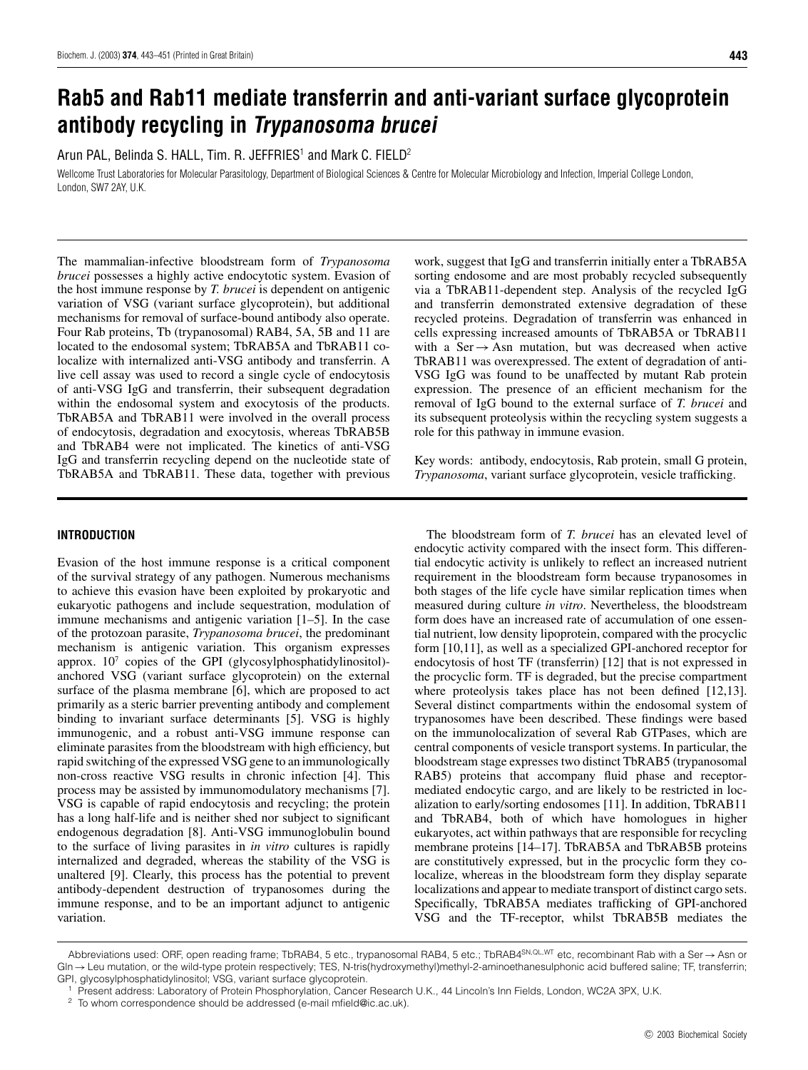# **Rab5 and Rab11 mediate transferrin and anti-variant surface glycoprotein antibody recycling in Trypanosoma brucei**

Arun PAL, Belinda S. HALL, Tim. R. JEFFRIES<sup>1</sup> and Mark C. FIELD<sup>2</sup>

Wellcome Trust Laboratories for Molecular Parasitology, Department of Biological Sciences & Centre for Molecular Microbiology and Infection, Imperial College London, London, SW7 2AY, U.K.

The mammalian-infective bloodstream form of *Trypanosoma brucei* possesses a highly active endocytotic system. Evasion of the host immune response by *T. brucei* is dependent on antigenic variation of VSG (variant surface glycoprotein), but additional mechanisms for removal of surface-bound antibody also operate. Four Rab proteins, Tb (trypanosomal) RAB4, 5A, 5B and 11 are located to the endosomal system; TbRAB5A and TbRAB11 colocalize with internalized anti-VSG antibody and transferrin. A live cell assay was used to record a single cycle of endocytosis of anti-VSG IgG and transferrin, their subsequent degradation within the endosomal system and exocytosis of the products. TbRAB5A and TbRAB11 were involved in the overall process of endocytosis, degradation and exocytosis, whereas TbRAB5B and TbRAB4 were not implicated. The kinetics of anti-VSG IgG and transferrin recycling depend on the nucleotide state of TbRAB5A and TbRAB11. These data, together with previous

work, suggest that IgG and transferrin initially enter a TbRAB5A sorting endosome and are most probably recycled subsequently via a TbRAB11-dependent step. Analysis of the recycled IgG and transferrin demonstrated extensive degradation of these recycled proteins. Degradation of transferrin was enhanced in cells expressing increased amounts of TbRAB5A or TbRAB11 with a Ser $\rightarrow$ Asn mutation, but was decreased when active TbRAB11 was overexpressed. The extent of degradation of anti-VSG IgG was found to be unaffected by mutant Rab protein expression. The presence of an efficient mechanism for the removal of IgG bound to the external surface of *T. brucei* and its subsequent proteolysis within the recycling system suggests a role for this pathway in immune evasion.

Key words: antibody, endocytosis, Rab protein, small G protein, *Trypanosoma*, variant surface glycoprotein, vesicle trafficking.

# **INTRODUCTION**

Evasion of the host immune response is a critical component of the survival strategy of any pathogen. Numerous mechanisms to achieve this evasion have been exploited by prokaryotic and eukaryotic pathogens and include sequestration, modulation of immune mechanisms and antigenic variation [1–5]. In the case of the protozoan parasite, *Trypanosoma brucei*, the predominant mechanism is antigenic variation. This organism expresses approx.  $10<sup>7</sup>$  copies of the GPI (glycosylphosphatidylinositol)anchored VSG (variant surface glycoprotein) on the external surface of the plasma membrane [6], which are proposed to act primarily as a steric barrier preventing antibody and complement binding to invariant surface determinants [5]. VSG is highly immunogenic, and a robust anti-VSG immune response can eliminate parasites from the bloodstream with high efficiency, but rapid switching of the expressed VSG gene to an immunologically non-cross reactive VSG results in chronic infection [4]. This process may be assisted by immunomodulatory mechanisms [7]. VSG is capable of rapid endocytosis and recycling; the protein has a long half-life and is neither shed nor subject to significant endogenous degradation [8]. Anti-VSG immunoglobulin bound to the surface of living parasites in *in vitro* cultures is rapidly internalized and degraded, whereas the stability of the VSG is unaltered [9]. Clearly, this process has the potential to prevent antibody-dependent destruction of trypanosomes during the immune response, and to be an important adjunct to antigenic variation.

The bloodstream form of *T. brucei* has an elevated level of endocytic activity compared with the insect form. This differential endocytic activity is unlikely to reflect an increased nutrient requirement in the bloodstream form because trypanosomes in both stages of the life cycle have similar replication times when measured during culture *in vitro*. Nevertheless, the bloodstream form does have an increased rate of accumulation of one essential nutrient, low density lipoprotein, compared with the procyclic form [10,11], as well as a specialized GPI-anchored receptor for endocytosis of host TF (transferrin) [12] that is not expressed in the procyclic form. TF is degraded, but the precise compartment where proteolysis takes place has not been defined [12,13]. Several distinct compartments within the endosomal system of trypanosomes have been described. These findings were based on the immunolocalization of several Rab GTPases, which are central components of vesicle transport systems. In particular, the bloodstream stage expresses two distinct TbRAB5 (trypanosomal RAB5) proteins that accompany fluid phase and receptormediated endocytic cargo, and are likely to be restricted in localization to early/sorting endosomes [11]. In addition, TbRAB11 and TbRAB4, both of which have homologues in higher eukaryotes, act within pathways that are responsible for recycling membrane proteins [14–17]. TbRAB5A and TbRAB5B proteins are constitutively expressed, but in the procyclic form they colocalize, whereas in the bloodstream form they display separate localizations and appear to mediate transport of distinct cargo sets. Specifically, TbRAB5A mediates trafficking of GPI-anchored VSG and the TF-receptor, whilst TbRAB5B mediates the

Abbreviations used: ORF, open reading frame; TbRAB4, 5 etc., trypanosomal RAB4, 5 etc.; TbRAB4SN*,*QL*,*WT etc, recombinant Rab with a Ser→Asn or Gln→Leu mutation, or the wild-type protein respectively; TES, N-tris(hydroxymethyl)methyl-2-aminoethanesulphonic acid buffered saline; TF, transferrin; GPI, glycosylphosphatidylinositol; VSG, variant surface glycoprotein.

Present address: Laboratory of Protein Phosphorylation, Cancer Research U.K., 44 Lincoln's Inn Fields, London, WC2A 3PX, U.K.

<sup>&</sup>lt;sup>2</sup> To whom correspondence should be addressed (e-mail mfield@ic.ac.uk).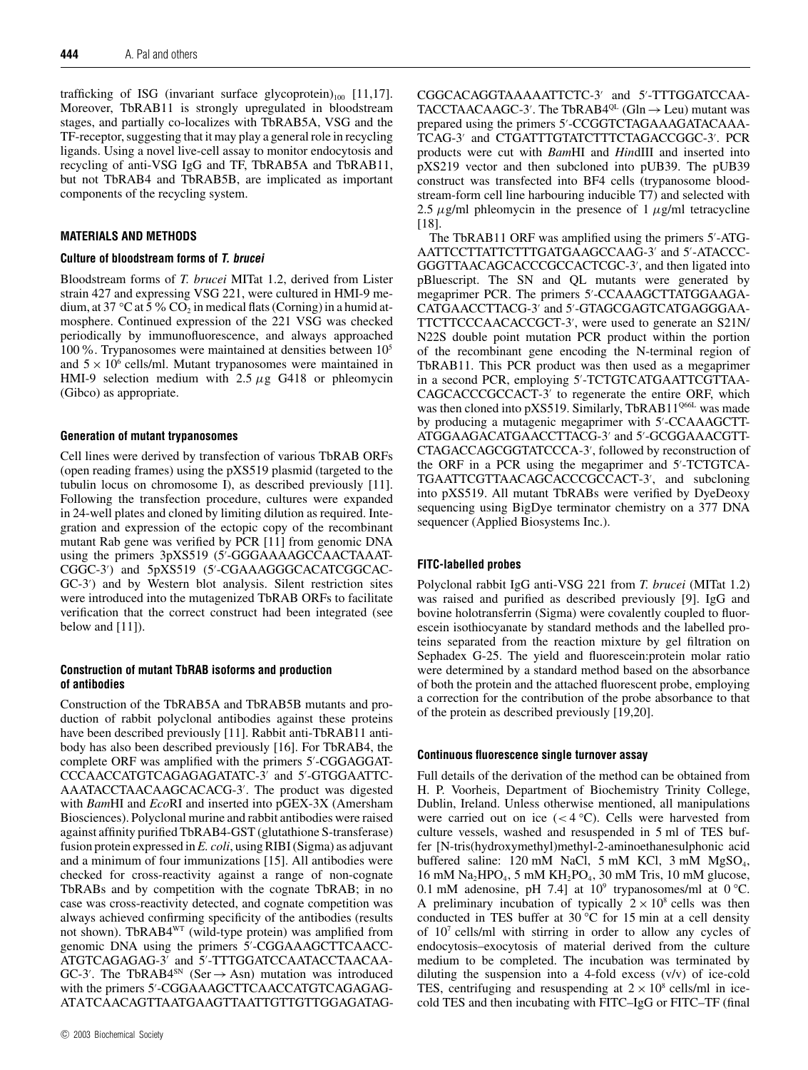trafficking of ISG (invariant surface glycoprotein) $_{100}$  [11,17]. Moreover, TbRAB11 is strongly upregulated in bloodstream stages, and partially co-localizes with TbRAB5A, VSG and the TF-receptor, suggesting that it may play a general role in recycling ligands. Using a novel live-cell assay to monitor endocytosis and recycling of anti-VSG IgG and TF, TbRAB5A and TbRAB11, but not TbRAB4 and TbRAB5B, are implicated as important components of the recycling system.

## **MATERIALS AND METHODS**

## **Culture of bloodstream forms of T. brucei**

Bloodstream forms of *T. brucei* MITat 1.2, derived from Lister strain 427 and expressing VSG 221, were cultured in HMI-9 medium, at 37 °C at 5 % CO<sub>2</sub> in medical flats (Corning) in a humid atmosphere. Continued expression of the 221 VSG was checked periodically by immunofluorescence, and always approached 100%. Trypanosomes were maintained at densities between 105 and  $5 \times 10^6$  cells/ml. Mutant trypanosomes were maintained in HMI-9 selection medium with 2.5 *µ*g G418 or phleomycin (Gibco) as appropriate.

## **Generation of mutant trypanosomes**

Cell lines were derived by transfection of various TbRAB ORFs (open reading frames) using the pXS519 plasmid (targeted to the tubulin locus on chromosome I), as described previously [11]. Following the transfection procedure, cultures were expanded in 24-well plates and cloned by limiting dilution as required. Integration and expression of the ectopic copy of the recombinant mutant Rab gene was verified by PCR [11] from genomic DNA using the primers 3pXS519 (5 -GGGAAAAGCCAACTAAAT-CGGC-3 ) and 5pXS519 (5 -CGAAAGGGCACATCGGCAC-GC-3 ) and by Western blot analysis. Silent restriction sites were introduced into the mutagenized TbRAB ORFs to facilitate verification that the correct construct had been integrated (see below and [11]).

# **Construction of mutant TbRAB isoforms and production of antibodies**

Construction of the TbRAB5A and TbRAB5B mutants and production of rabbit polyclonal antibodies against these proteins have been described previously [11]. Rabbit anti-TbRAB11 antibody has also been described previously [16]. For TbRAB4, the complete ORF was amplified with the primers 5 -CGGAGGAT-CCCAACCATGTCAGAGAGATATC-3' and 5'-GTGGAATTC-AAATACCTAACAAGCACACG-3 . The product was digested with *Bam*HI and *Eco*RI and inserted into pGEX-3X (Amersham Biosciences). Polyclonal murine and rabbit antibodies were raised against affinity purified TbRAB4-GST (glutathione S-transferase) fusion protein expressed in *E. coli*, using RIBI (Sigma) as adjuvant and a minimum of four immunizations [15]. All antibodies were checked for cross-reactivity against a range of non-cognate TbRABs and by competition with the cognate TbRAB; in no case was cross-reactivity detected, and cognate competition was always achieved confirming specificity of the antibodies (results not shown). TbRAB4WT (wild-type protein) was amplified from genomic DNA using the primers 5 -CGGAAAGCTTCAACC-ATGTCAGAGAG-3' and 5'-TTTGGATCCAATACCTAACAA-GC-3'. The TbRAB4<sup>SN</sup> (Ser  $\rightarrow$  Asn) mutation was introduced with the primers 5 -CGGAAAGCTTCAACCATGTCAGAGAG-ATATCAACAGTTAATGAAGTTAATTGTTGTTGGAGATAG-

CGGCACAGGTAAAAATTCTC-3' and 5'-TTTGGATCCAA-TACCTAACAAGC-3'. The TbRAB4<sup>QL</sup> (Gln  $\rightarrow$  Leu) mutant was prepared using the primers 5 -CCGGTCTAGAAAGATACAAA-TCAG-3' and CTGATTTGTATCTTTCTAGACCGGC-3'. PCR products were cut with *Bam*HI and *Hin*dIII and inserted into pXS219 vector and then subcloned into pUB39. The pUB39 construct was transfected into BF4 cells (trypanosome bloodstream-form cell line harbouring inducible T7) and selected with 2.5  $\mu$ g/ml phleomycin in the presence of 1  $\mu$ g/ml tetracycline [18].

The TbRAB11 ORF was amplified using the primers 5 -ATG-AATTCCTTATTCTTTGATGAAGCCAAG-3' and 5'-ATACCC-GGGTTAACAGCACCCGCCACTCGC-3 , and then ligated into pBluescript. The SN and QL mutants were generated by megaprimer PCR. The primers 5 -CCAAAGCTTATGGAAGA-CATGAACCTTACG-3' and 5'-GTAGCGAGTCATGAGGGAA-TTCTTCCCAACACCGCT-3 , were used to generate an S21N/ N22S double point mutation PCR product within the portion of the recombinant gene encoding the N-terminal region of TbRAB11. This PCR product was then used as a megaprimer in a second PCR, employing 5 -TCTGTCATGAATTCGTTAA-CAGCACCCGCCACT-3' to regenerate the entire ORF, which was then cloned into pXS519. Similarly, TbRAB11<sup>Q66L</sup> was made by producing a mutagenic megaprimer with 5'-CCAAAGCTT-ATGGAAGACATGAACCTTACG-3' and 5'-GCGGAAACGTT-CTAGACCAGCGGTATCCCA-3 , followed by reconstruction of the ORF in a PCR using the megaprimer and 5'-TCTGTCA-TGAATTCGTTAACAGCACCCGCCACT-3 , and subcloning into pXS519. All mutant TbRABs were verified by DyeDeoxy sequencing using BigDye terminator chemistry on a 377 DNA sequencer (Applied Biosystems Inc.).

# **FITC-labelled probes**

Polyclonal rabbit IgG anti-VSG 221 from *T. brucei* (MITat 1.2) was raised and purified as described previously [9]. IgG and bovine holotransferrin (Sigma) were covalently coupled to fluorescein isothiocyanate by standard methods and the labelled proteins separated from the reaction mixture by gel filtration on Sephadex G-25. The yield and fluorescein:protein molar ratio were determined by a standard method based on the absorbance of both the protein and the attached fluorescent probe, employing a correction for the contribution of the probe absorbance to that of the protein as described previously [19,20].

# **Continuous fluorescence single turnover assay**

Full details of the derivation of the method can be obtained from H. P. Voorheis, Department of Biochemistry Trinity College, Dublin, Ireland. Unless otherwise mentioned, all manipulations were carried out on ice (*<* 4 *◦* C). Cells were harvested from culture vessels, washed and resuspended in 5 ml of TES buffer [N-tris(hydroxymethyl)methyl-2-aminoethanesulphonic acid buffered saline: 120 mM NaCl, 5 mM KCl, 3 mM MgSO<sub>4</sub>, 16 mM  $Na<sub>2</sub>HPO<sub>4</sub>$ , 5 mM  $KH<sub>2</sub>PO<sub>4</sub>$ , 30 mM Tris, 10 mM glucose, 0.1 mM adenosine, pH 7.4] at 109 trypanosomes/ml at 0 *◦* C. A preliminary incubation of typically  $2 \times 10^8$  cells was then conducted in TES buffer at 30 *◦*C for 15 min at a cell density of 107 cells/ml with stirring in order to allow any cycles of endocytosis–exocytosis of material derived from the culture medium to be completed. The incubation was terminated by diluting the suspension into a 4-fold excess (v/v) of ice-cold TES, centrifuging and resuspending at  $2 \times 10^8$  cells/ml in icecold TES and then incubating with FITC–IgG or FITC–TF (final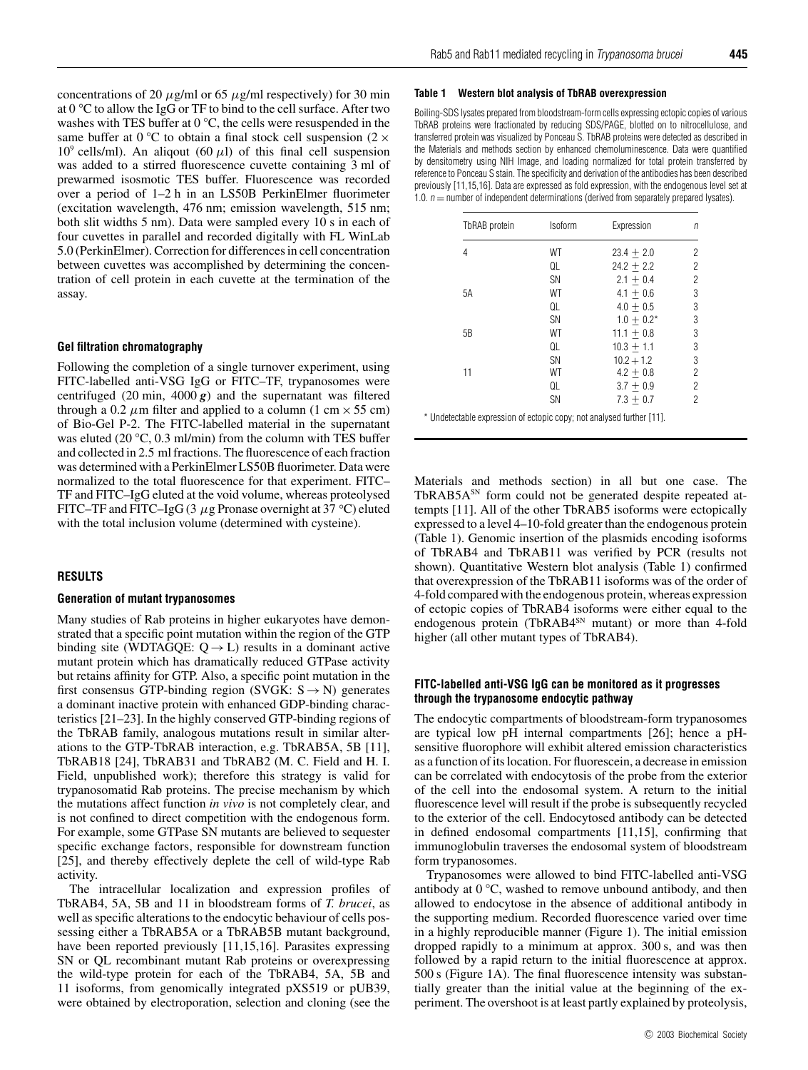concentrations of 20  $\mu$ g/ml or 65  $\mu$ g/ml respectively) for 30 min at 0 *◦* C to allow the IgG or TF to bind to the cell surface. After two washes with TES buffer at 0 *◦* C, the cells were resuspended in the same buffer at  $0 °C$  to obtain a final stock cell suspension ( $2 \times$  $10^9$  cells/ml). An aliqout (60  $\mu$ l) of this final cell suspension was added to a stirred fluorescence cuvette containing 3 ml of prewarmed isosmotic TES buffer. Fluorescence was recorded over a period of 1–2 h in an LS50B PerkinElmer fluorimeter (excitation wavelength, 476 nm; emission wavelength, 515 nm; both slit widths 5 nm). Data were sampled every 10 s in each of four cuvettes in parallel and recorded digitally with FL WinLab 5.0 (PerkinElmer). Correction for differences in cell concentration between cuvettes was accomplished by determining the concentration of cell protein in each cuvette at the termination of the assay.

## **Gel filtration chromatography**

Following the completion of a single turnover experiment, using FITC-labelled anti-VSG IgG or FITC–TF, trypanosomes were centrifuged (20 min,  $4000 g$ ) and the supernatant was filtered through a 0.2  $\mu$ m filter and applied to a column (1 cm  $\times$  55 cm) of Bio-Gel P-2. The FITC-labelled material in the supernatant was eluted (20 *◦*C, 0.3 ml/min) from the column with TES buffer and collected in 2.5 ml fractions. The fluorescence of each fraction was determined with a PerkinElmer LS50B fluorimeter. Data were normalized to the total fluorescence for that experiment. FITC– TF and FITC–IgG eluted at the void volume, whereas proteolysed FITC–TF and FITC–IgG (3 *µ*g Pronase overnight at 37 *◦* C) eluted with the total inclusion volume (determined with cysteine).

#### **RESULTS**

### **Generation of mutant trypanosomes**

Many studies of Rab proteins in higher eukaryotes have demonstrated that a specific point mutation within the region of the GTP binding site (WDTAGQE:  $Q \rightarrow L$ ) results in a dominant active mutant protein which has dramatically reduced GTPase activity but retains affinity for GTP. Also, a specific point mutation in the first consensus GTP-binding region (SVGK:  $S \rightarrow N$ ) generates a dominant inactive protein with enhanced GDP-binding characteristics [21–23]. In the highly conserved GTP-binding regions of the TbRAB family, analogous mutations result in similar alterations to the GTP-TbRAB interaction, e.g. TbRAB5A, 5B [11], TbRAB18 [24], TbRAB31 and TbRAB2 (M. C. Field and H. I. Field, unpublished work); therefore this strategy is valid for trypanosomatid Rab proteins. The precise mechanism by which the mutations affect function *in vivo* is not completely clear, and is not confined to direct competition with the endogenous form. For example, some GTPase SN mutants are believed to sequester specific exchange factors, responsible for downstream function [25], and thereby effectively deplete the cell of wild-type Rab activity.

The intracellular localization and expression profiles of TbRAB4, 5A, 5B and 11 in bloodstream forms of *T. brucei*, as well as specific alterations to the endocytic behaviour of cells possessing either a TbRAB5A or a TbRAB5B mutant background, have been reported previously [11,15,16]. Parasites expressing SN or QL recombinant mutant Rab proteins or overexpressing the wild-type protein for each of the TbRAB4, 5A, 5B and 11 isoforms, from genomically integrated pXS519 or pUB39, were obtained by electroporation, selection and cloning (see the

#### **Table 1 Western blot analysis of TbRAB overexpression**

Boiling-SDS lysates prepared from bloodstream-form cells expressing ectopic copies of various TbRAB proteins were fractionated by reducing SDS/PAGE, blotted on to nitrocellulose, and transferred protein was visualized by Ponceau S. TbRAB proteins were detected as described in the Materials and methods section by enhanced chemoluminescence. Data were quantified by densitometry using NIH Image, and loading normalized for total protein transferred by reference to Ponceau S stain. The specificity and derivation of the antibodies has been described previously [11,15,16]. Data are expressed as fold expression, with the endogenous level set at 1.0.  $n =$  number of independent determinations (derived from separately prepared lysates).

| TbRAB protein | <b>Isoform</b> | Expression    | П |  |
|---------------|----------------|---------------|---|--|
| 4             | WT             | $23.4 + 2.0$  | 2 |  |
|               | QL             | $24.2 + 2.2$  | 2 |  |
|               | SN             | $2.1 + 0.4$   | 2 |  |
| 5A            | WT             | $4.1 + 0.6$   | 3 |  |
|               | QL             | $4.0 + 0.5$   | 3 |  |
|               | SN             | $1.0 + 0.2^*$ | 3 |  |
| 5B            | WT             | $11.1 + 0.8$  | 3 |  |
|               | QL             | $10.3 + 1.1$  | 3 |  |
|               | SN             | $10.2 + 1.2$  | 3 |  |
| 11            | WT             | $4.2 \pm 0.8$ | 2 |  |
|               | QL             | $3.7 + 0.9$   | 2 |  |
|               | SN             | $7.3 + 0.7$   | 2 |  |

\* Undetectable expression of ectopic copy; not analysed further [11].

Materials and methods section) in all but one case. The TbRAB5A<sup>SN</sup> form could not be generated despite repeated attempts [11]. All of the other TbRAB5 isoforms were ectopically expressed to a level 4–10-fold greater than the endogenous protein (Table 1). Genomic insertion of the plasmids encoding isoforms of TbRAB4 and TbRAB11 was verified by PCR (results not shown). Quantitative Western blot analysis (Table 1) confirmed that overexpression of the TbRAB11 isoforms was of the order of 4-fold compared with the endogenous protein, whereas expression of ectopic copies of TbRAB4 isoforms were either equal to the endogenous protein (TbRAB4<sup>SN</sup> mutant) or more than 4-fold higher (all other mutant types of TbRAB4).

## **FITC-labelled anti-VSG IgG can be monitored as it progresses through the trypanosome endocytic pathway**

The endocytic compartments of bloodstream-form trypanosomes are typical low pH internal compartments [26]; hence a pHsensitive fluorophore will exhibit altered emission characteristics as a function of its location. For fluorescein, a decrease in emission can be correlated with endocytosis of the probe from the exterior of the cell into the endosomal system. A return to the initial fluorescence level will result if the probe is subsequently recycled to the exterior of the cell. Endocytosed antibody can be detected in defined endosomal compartments [11,15], confirming that immunoglobulin traverses the endosomal system of bloodstream form trypanosomes.

Trypanosomes were allowed to bind FITC-labelled anti-VSG antibody at 0 *◦*C, washed to remove unbound antibody, and then allowed to endocytose in the absence of additional antibody in the supporting medium. Recorded fluorescence varied over time in a highly reproducible manner (Figure 1). The initial emission dropped rapidly to a minimum at approx. 300 s, and was then followed by a rapid return to the initial fluorescence at approx. 500 s (Figure 1A). The final fluorescence intensity was substantially greater than the initial value at the beginning of the experiment. The overshoot is at least partly explained by proteolysis,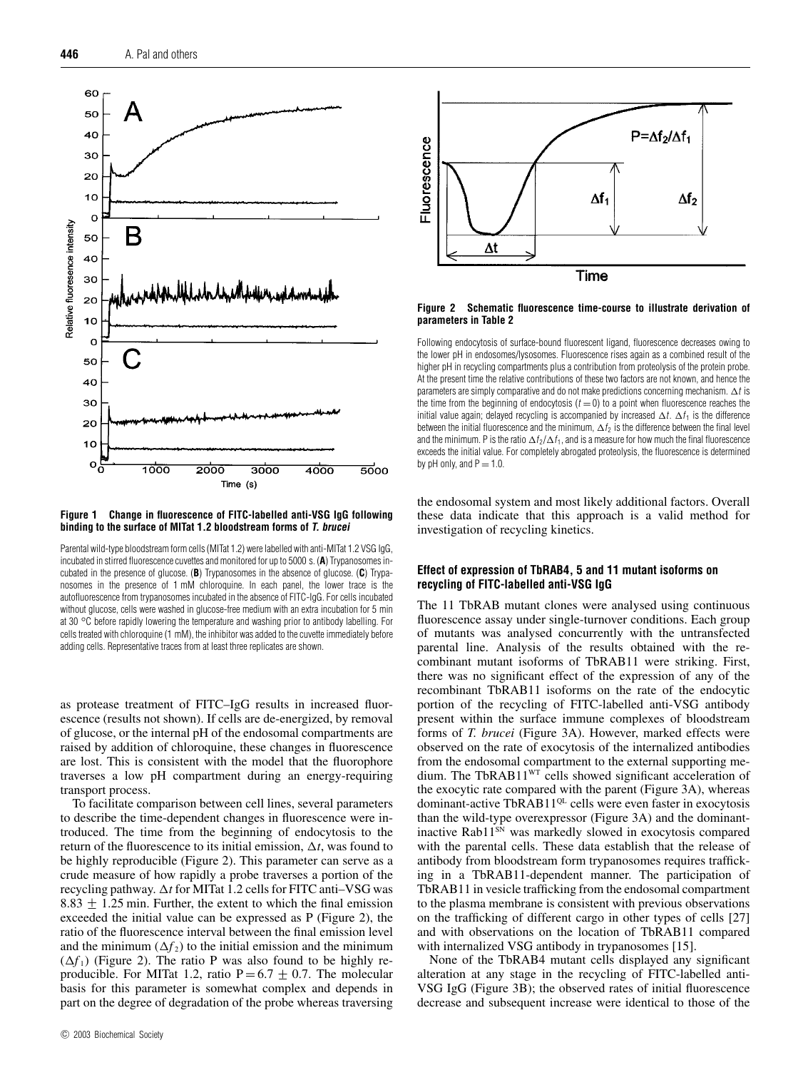

**Figure 1 Change in fluorescence of FITC-labelled anti-VSG IgG following binding to the surface of MITat 1.2 bloodstream forms of T. brucei**

Parental wild-type bloodstream form cells (MITat 1.2) were labelled with anti-MITat 1.2 VSG IgG, incubated in stirred fluorescence cuvettes and monitored for up to 5000 s. (**A**) Trypanosomes incubated in the presence of glucose. (**B**) Trypanosomes in the absence of glucose. (**C**) Trypanosomes in the presence of 1 mM chloroquine. In each panel, the lower trace is the autofluorescence from trypanosomes incubated in the absence of FITC-IgG. For cells incubated without glucose, cells were washed in glucose-free medium with an extra incubation for 5 min at 30 *◦*C before rapidly lowering the temperature and washing prior to antibody labelling. For cells treated with chloroquine (1 mM), the inhibitor was added to the cuvette immediately before adding cells. Representative traces from at least three replicates are shown.

as protease treatment of FITC–IgG results in increased fluorescence (results not shown). If cells are de-energized, by removal of glucose, or the internal pH of the endosomal compartments are raised by addition of chloroquine, these changes in fluorescence are lost. This is consistent with the model that the fluorophore traverses a low pH compartment during an energy-requiring transport process.

To facilitate comparison between cell lines, several parameters to describe the time-dependent changes in fluorescence were introduced. The time from the beginning of endocytosis to the return of the fluorescence to its initial emission,  $\Delta t$ , was found to be highly reproducible (Figure 2). This parameter can serve as a crude measure of how rapidly a probe traverses a portion of the recycling pathway. ∆*t* for MITat 1.2 cells for FITC anti-VSG was 8.83  $\pm$  1.25 min. Further, the extent to which the final emission exceeded the initial value can be expressed as P (Figure 2), the ratio of the fluorescence interval between the final emission level and the minimum  $(\Delta f_2)$  to the initial emission and the minimum  $(\Delta f_1)$  (Figure 2). The ratio P was also found to be highly reproducible. For MITat 1.2, ratio P = 6.7  $\pm$  0.7. The molecular basis for this parameter is somewhat complex and depends in part on the degree of degradation of the probe whereas traversing



### **Figure 2 Schematic fluorescence time-course to illustrate derivation of parameters in Table 2**

Following endocytosis of surface-bound fluorescent ligand, fluorescence decreases owing to the lower pH in endosomes/lysosomes. Fluorescence rises again as a combined result of the higher pH in recycling compartments plus a contribution from proteolysis of the protein probe. At the present time the relative contributions of these two factors are not known, and hence the parameters are simply comparative and do not make predictions concerning mechanism.  $\Delta t$  is the time from the beginning of endocytosis ( $t = 0$ ) to a point when fluorescence reaches the initial value again; delayed recycling is accompanied by increased  $\Delta t$ .  $\Delta t_1$  is the difference between the initial fluorescence and the minimum,  $\Delta f_2$  is the difference between the final level and the minimum. P is the ratio  $\Delta f_2/\Delta f_1$ , and is a measure for how much the final fluorescence exceeds the initial value. For completely abrogated proteolysis, the fluorescence is determined by pH only, and  $P = 1.0$ .

the endosomal system and most likely additional factors. Overall these data indicate that this approach is a valid method for investigation of recycling kinetics.

# **Effect of expression of TbRAB4, 5 and 11 mutant isoforms on recycling of FITC-labelled anti-VSG IgG**

The 11 TbRAB mutant clones were analysed using continuous fluorescence assay under single-turnover conditions. Each group of mutants was analysed concurrently with the untransfected parental line. Analysis of the results obtained with the recombinant mutant isoforms of TbRAB11 were striking. First, there was no significant effect of the expression of any of the recombinant TbRAB11 isoforms on the rate of the endocytic portion of the recycling of FITC-labelled anti-VSG antibody present within the surface immune complexes of bloodstream forms of *T. brucei* (Figure 3A). However, marked effects were observed on the rate of exocytosis of the internalized antibodies from the endosomal compartment to the external supporting medium. The TbRAB11<sup>WT</sup> cells showed significant acceleration of the exocytic rate compared with the parent (Figure 3A), whereas dominant-active TbRAB11<sup>QL</sup> cells were even faster in exocytosis than the wild-type overexpressor (Figure 3A) and the dominantinactive Rab11<sup>SN</sup> was markedly slowed in exocytosis compared with the parental cells. These data establish that the release of antibody from bloodstream form trypanosomes requires trafficking in a TbRAB11-dependent manner. The participation of TbRAB11 in vesicle trafficking from the endosomal compartment to the plasma membrane is consistent with previous observations on the trafficking of different cargo in other types of cells [27] and with observations on the location of TbRAB11 compared with internalized VSG antibody in trypanosomes [15].

None of the TbRAB4 mutant cells displayed any significant alteration at any stage in the recycling of FITC-labelled anti-VSG IgG (Figure 3B); the observed rates of initial fluorescence decrease and subsequent increase were identical to those of the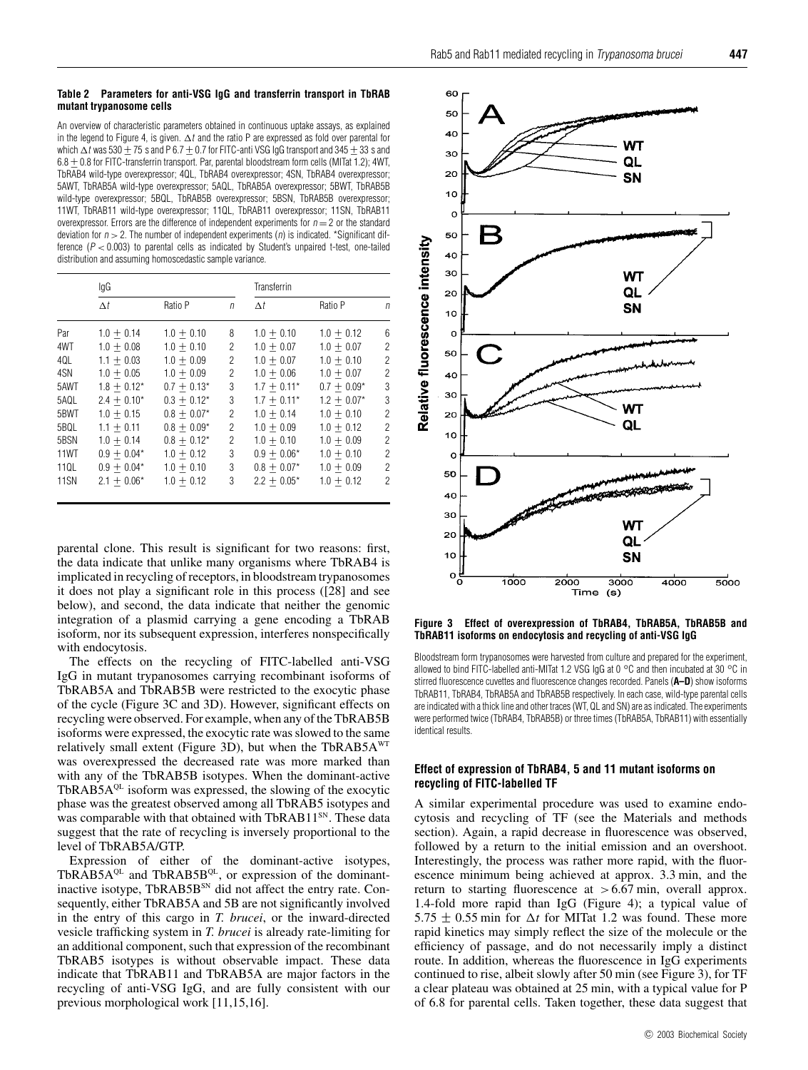#### **Table 2 Parameters for anti-VSG IgG and transferrin transport in TbRAB mutant trypanosome cells**

An overview of characteristic parameters obtained in continuous uptake assays, as explained in the legend to Figure 4, is given.  $\Delta t$  and the ratio P are expressed as fold over parental for which  $\Delta t$  was 530 + 75 s and P 6.7 + 0.7 for FITC-anti VSG IgG transport and 345 + 33 s and 6.8 ± 0.8 for FITC-transferrin transport. Par, parental bloodstream form cells (MITat 1.2); 4WT, TbRAB4 wild-type overexpressor; 4QL, TbRAB4 overexpressor; 4SN, TbRAB4 overexpressor; 5AWT, TbRAB5A wild-type overexpressor; 5AQL, TbRAB5A overexpressor; 5BWT, TbRAB5B wild-type overexpressor; 5BQL, TbRAB5B overexpressor; 5BSN, TbRAB5B overexpressor; 11WT, TbRAB11 wild-type overexpressor; 11QL, TbRAB11 overexpressor; 11SN, TbRAB11 overexpressor. Errors are the difference of independent experiments for  $n = 2$  or the standard deviation for  $n > 2$ . The number of independent experiments (n) is indicated. \*Significant difference  $(P < 0.003)$  to parental cells as indicated by Student's unpaired t-test, one-tailed distribution and assuming homoscedastic sample variance.

|             | lgG           |               |            | Transferrin   |               |   |
|-------------|---------------|---------------|------------|---------------|---------------|---|
|             | $\Delta t$    | Ratio P       | $\sqrt{n}$ | Δt            | Ratio P       | n |
| Par         | $1.0 + 0.14$  | $1.0 + 0.10$  | 8          | $1.0 + 0.10$  | $1.0 + 0.12$  | 6 |
| 4WT         | $1.0 + 0.08$  | $1.0 + 0.10$  | 2          | $1.0 + 0.07$  | $1.0 + 0.07$  | 2 |
| 4QL         | $1.1 + 0.03$  | $1.0 + 0.09$  | 2          | $1.0 + 0.07$  | $1.0 + 0.10$  | 2 |
| 4SN         | $1.0 + 0.05$  | $1.0 + 0.09$  | 2          | $1.0 + 0.06$  | $1.0 + 0.07$  | 2 |
| 5AWT        | $1.8 + 0.12*$ | $0.7 + 0.13*$ | 3          | $1.7 + 0.11*$ | $0.7 + 0.09*$ | 3 |
| 5AQL        | $2.4 + 0.10*$ | $0.3 + 0.12*$ | 3          | $1.7 + 0.11*$ | $1.2 + 0.07*$ | 3 |
| 5BWT        | $1.0 + 0.15$  | $0.8 + 0.07*$ | 2          | $1.0 + 0.14$  | $1.0 + 0.10$  | 2 |
| 5BQL        | $1.1 + 0.11$  | $0.8 + 0.09*$ | 2          | $1.0 + 0.09$  | $1.0 + 0.12$  | 2 |
| 5BSN        | $1.0 + 0.14$  | $0.8 + 0.12*$ | 2          | $1.0 + 0.10$  | $1.0 + 0.09$  | 2 |
| 11WT        | $0.9 + 0.04*$ | $1.0 + 0.12$  | 3          | $0.9 + 0.06*$ | $1.0 + 0.10$  | 2 |
| 11QL        | $0.9 + 0.04*$ | $1.0 + 0.10$  | 3          | $0.8 + 0.07*$ | $1.0 + 0.09$  | 2 |
| <b>11SN</b> | $2.1 + 0.06*$ | $1.0 + 0.12$  | 3          | $2.2 + 0.05*$ | $1.0 + 0.12$  | 2 |

parental clone. This result is significant for two reasons: first, the data indicate that unlike many organisms where TbRAB4 is implicated in recycling of receptors, in bloodstream trypanosomes it does not play a significant role in this process ([28] and see below), and second, the data indicate that neither the genomic integration of a plasmid carrying a gene encoding a TbRAB isoform, nor its subsequent expression, interferes nonspecifically with endocytosis.

The effects on the recycling of FITC-labelled anti-VSG IgG in mutant trypanosomes carrying recombinant isoforms of TbRAB5A and TbRAB5B were restricted to the exocytic phase of the cycle (Figure 3C and 3D). However, significant effects on recycling were observed. For example, when any of the TbRAB5B isoforms were expressed, the exocytic rate was slowed to the same relatively small extent (Figure 3D), but when the TbRAB5A<sup>WT</sup> was overexpressed the decreased rate was more marked than with any of the TbRAB5B isotypes. When the dominant-active TbRAB5 $A^{QL}$  isoform was expressed, the slowing of the exocytic phase was the greatest observed among all TbRAB5 isotypes and was comparable with that obtained with TbRAB11<sup>SN</sup>. These data suggest that the rate of recycling is inversely proportional to the level of TbRAB5A/GTP.

Expression of either of the dominant-active isotypes, TbRAB5A $QL$  and TbRAB5B $QL$ , or expression of the dominantinactive isotype, TbRAB5B<sup>SN</sup> did not affect the entry rate. Consequently, either TbRAB5A and 5B are not significantly involved in the entry of this cargo in *T. brucei*, or the inward-directed vesicle trafficking system in *T. brucei* is already rate-limiting for an additional component, such that expression of the recombinant TbRAB5 isotypes is without observable impact. These data indicate that TbRAB11 and TbRAB5A are major factors in the recycling of anti-VSG IgG, and are fully consistent with our previous morphological work [11,15,16].



**Figure 3 Effect of overexpression of TbRAB4, TbRAB5A, TbRAB5B and TbRAB11 isoforms on endocytosis and recycling of anti-VSG IgG**

Bloodstream form trypanosomes were harvested from culture and prepared for the experiment, allowed to bind FITC-labelled anti-MITat 1.2 VSG IgG at 0 *◦*C and then incubated at 30 *◦*C in stirred fluorescence cuvettes and fluorescence changes recorded. Panels (**A–D**) show isoforms TbRAB11, TbRAB4, TbRAB5A and TbRAB5B respectively. In each case, wild-type parental cells are indicated with a thick line and other traces (WT, QL and SN) are as indicated. The experiments were performed twice (TbRAB4, TbRAB5B) or three times (TbRAB5A, TbRAB11) with essentially identical results.

# **Effect of expression of TbRAB4, 5 and 11 mutant isoforms on recycling of FITC-labelled TF**

A similar experimental procedure was used to examine endocytosis and recycling of TF (see the Materials and methods section). Again, a rapid decrease in fluorescence was observed, followed by a return to the initial emission and an overshoot. Interestingly, the process was rather more rapid, with the fluorescence minimum being achieved at approx. 3.3 min, and the return to starting fluorescence at *>*6.67 min, overall approx. 1.4-fold more rapid than IgG (Figure 4); a typical value of 5.75  $\pm$  0.55 min for  $\Delta t$  for MITat 1.2 was found. These more rapid kinetics may simply reflect the size of the molecule or the efficiency of passage, and do not necessarily imply a distinct route. In addition, whereas the fluorescence in IgG experiments continued to rise, albeit slowly after 50 min (see Figure 3), for TF a clear plateau was obtained at 25 min, with a typical value for P of 6.8 for parental cells. Taken together, these data suggest that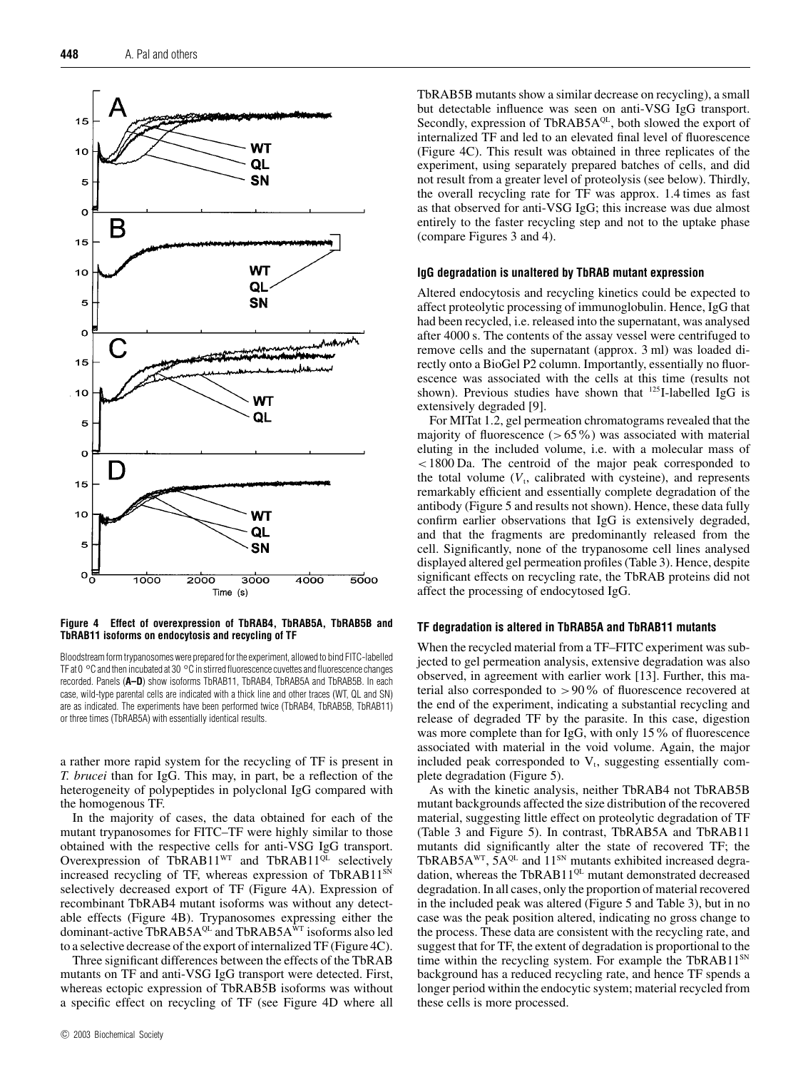

**Figure 4 Effect of overexpression of TbRAB4, TbRAB5A, TbRAB5B and TbRAB11 isoforms on endocytosis and recycling of TF**

Bloodstream form trypanosomes were prepared for the experiment, allowed to bind FITC-labelled TF at 0 *◦*C and then incubated at 30 *◦*C in stirred fluorescence cuvettes and fluorescence changes recorded. Panels (**A–D**) show isoforms TbRAB11, TbRAB4, TbRAB5A and TbRAB5B. In each case, wild-type parental cells are indicated with a thick line and other traces (WT, QL and SN) are as indicated. The experiments have been performed twice (TbRAB4, TbRAB5B, TbRAB11) or three times (TbRAB5A) with essentially identical results.

a rather more rapid system for the recycling of TF is present in *T. brucei* than for IgG. This may, in part, be a reflection of the heterogeneity of polypeptides in polyclonal IgG compared with the homogenous TF.

In the majority of cases, the data obtained for each of the mutant trypanosomes for FITC–TF were highly similar to those obtained with the respective cells for anti-VSG IgG transport. Overexpression of TbRAB11 $W<sub>T</sub>$  and TbRAB11 $Q<sub>L</sub>$  selectively increased recycling of TF, whereas expression of TbRAB11<sup>SN</sup> selectively decreased export of TF (Figure 4A). Expression of recombinant TbRAB4 mutant isoforms was without any detectable effects (Figure 4B). Trypanosomes expressing either the dominant-active TbRAB5A<sup>QL</sup> and TbRAB5A $\overline{N}$ T isoforms also led to a selective decrease of the export of internalized TF (Figure 4C).

Three significant differences between the effects of the TbRAB mutants on TF and anti-VSG IgG transport were detected. First, whereas ectopic expression of TbRAB5B isoforms was without a specific effect on recycling of TF (see Figure 4D where all TbRAB5B mutants show a similar decrease on recycling), a small but detectable influence was seen on anti-VSG IgG transport. Secondly, expression of TbRAB5AQL, both slowed the export of internalized TF and led to an elevated final level of fluorescence (Figure 4C). This result was obtained in three replicates of the experiment, using separately prepared batches of cells, and did not result from a greater level of proteolysis (see below). Thirdly, the overall recycling rate for TF was approx. 1.4 times as fast as that observed for anti-VSG IgG; this increase was due almost entirely to the faster recycling step and not to the uptake phase (compare Figures 3 and 4).

## **IgG degradation is unaltered by TbRAB mutant expression**

Altered endocytosis and recycling kinetics could be expected to affect proteolytic processing of immunoglobulin. Hence, IgG that had been recycled, i.e. released into the supernatant, was analysed after 4000 s. The contents of the assay vessel were centrifuged to remove cells and the supernatant (approx. 3 ml) was loaded directly onto a BioGel P2 column. Importantly, essentially no fluorescence was associated with the cells at this time (results not shown). Previous studies have shown that <sup>125</sup>I-labelled IgG is extensively degraded [9].

For MITat 1.2, gel permeation chromatograms revealed that the majority of fluorescence (*>*65%) was associated with material eluting in the included volume, i.e. with a molecular mass of *<*1800 Da. The centroid of the major peak corresponded to the total volume  $(V_t,$  calibrated with cysteine), and represents remarkably efficient and essentially complete degradation of the antibody (Figure 5 and results not shown). Hence, these data fully confirm earlier observations that IgG is extensively degraded, and that the fragments are predominantly released from the cell. Significantly, none of the trypanosome cell lines analysed displayed altered gel permeation profiles (Table 3). Hence, despite significant effects on recycling rate, the TbRAB proteins did not affect the processing of endocytosed IgG.

#### **TF degradation is altered in TbRAB5A and TbRAB11 mutants**

When the recycled material from a TF–FITC experiment was subjected to gel permeation analysis, extensive degradation was also observed, in agreement with earlier work [13]. Further, this material also corresponded to *>*90% of fluorescence recovered at the end of the experiment, indicating a substantial recycling and release of degraded TF by the parasite. In this case, digestion was more complete than for IgG, with only 15% of fluorescence associated with material in the void volume. Again, the major included peak corresponded to  $V_t$ , suggesting essentially complete degradation (Figure 5).

As with the kinetic analysis, neither TbRAB4 not TbRAB5B mutant backgrounds affected the size distribution of the recovered material, suggesting little effect on proteolytic degradation of TF (Table 3 and Figure 5). In contrast, TbRAB5A and TbRAB11 mutants did significantly alter the state of recovered TF; the TbRAB5A<sup>WT</sup>,  $5A^{QL}$  and  $11^{SN}$  mutants exhibited increased degradation, whereas the TbRAB11<sup>QL</sup> mutant demonstrated decreased degradation. In all cases, only the proportion of material recovered in the included peak was altered (Figure 5 and Table 3), but in no case was the peak position altered, indicating no gross change to the process. These data are consistent with the recycling rate, and suggest that for TF, the extent of degradation is proportional to the time within the recycling system. For example the TbRAB11<sup>SN</sup> background has a reduced recycling rate, and hence TF spends a longer period within the endocytic system; material recycled from these cells is more processed.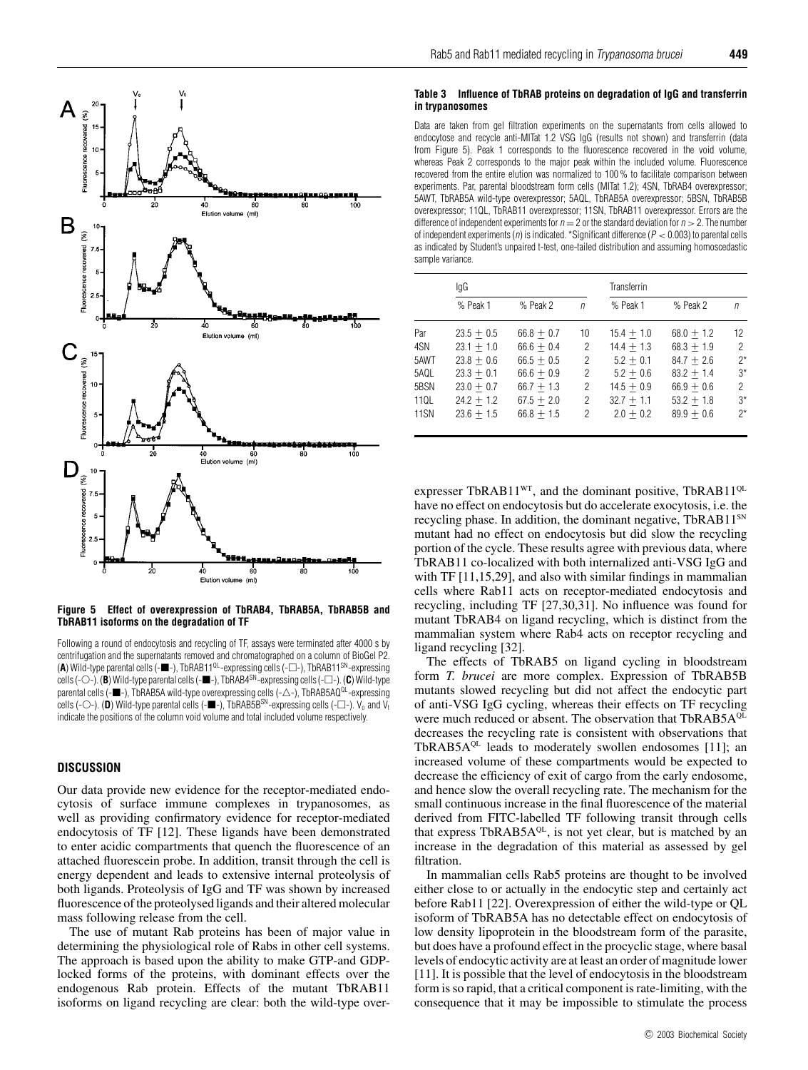

**Figure 5 Effect of overexpression of TbRAB4, TbRAB5A, TbRAB5B and TbRAB11 isoforms on the degradation of TF**

Following a round of endocytosis and recycling of TF, assays were terminated after 4000 s by centrifugation and the supernatants removed and chromatographed on a column of BioGel P2. **(A)** Wild-type parental cells (- $\blacksquare$ -), TbRAB11<sup>QL</sup>-expressing cells (- $\Box$ -), TbRAB11<sup>SN</sup>-expressing cells (-O-). (**B**) Wild-type parental cells (- $\blacksquare$ -), TbRAB4<sup>SN</sup>-expressing cells (- $\Box$ -). (**C**) Wild-type parental cells (- $\blacksquare$ -), TbRAB5A wild-type overexpressing cells (- $\triangle$ -), TbRAB5AQ<sup>QL</sup>-expressing cells (-O-). (**D**) Wild-type parental cells (- $\blacksquare$ -), TbRAB5B<sup>SN</sup>-expressing cells (- $\Box$ -). V<sub>o</sub> and V<sub>t</sub> indicate the positions of the column void volume and total included volume respectively.

# **DISCUSSION**

Our data provide new evidence for the receptor-mediated endocytosis of surface immune complexes in trypanosomes, as well as providing confirmatory evidence for receptor-mediated endocytosis of TF [12]. These ligands have been demonstrated to enter acidic compartments that quench the fluorescence of an attached fluorescein probe. In addition, transit through the cell is energy dependent and leads to extensive internal proteolysis of both ligands. Proteolysis of IgG and TF was shown by increased fluorescence of the proteolysed ligands and their altered molecular mass following release from the cell.

The use of mutant Rab proteins has been of major value in determining the physiological role of Rabs in other cell systems. The approach is based upon the ability to make GTP-and GDPlocked forms of the proteins, with dominant effects over the endogenous Rab protein. Effects of the mutant TbRAB11 isoforms on ligand recycling are clear: both the wild-type over-

## **Table 3 Influence of TbRAB proteins on degradation of IgG and transferrin in trypanosomes**

Data are taken from gel filtration experiments on the supernatants from cells allowed to endocytose and recycle anti-MITat 1.2 VSG IgG (results not shown) and transferrin (data from Figure 5). Peak 1 corresponds to the fluorescence recovered in the void volume, whereas Peak 2 corresponds to the major peak within the included volume. Fluorescence recovered from the entire elution was normalized to 100 % to facilitate comparison between experiments. Par, parental bloodstream form cells (MITat 1.2); 4SN, TbRAB4 overexpressor; 5AWT, TbRAB5A wild-type overexpressor; 5AQL, TbRAB5A overexpressor; 5BSN, TbRAB5B overexpressor; 11QL, TbRAB11 overexpressor; 11SN, TbRAB11 overexpressor. Errors are the difference of independent experiments for  $n = 2$  or the standard deviation for  $n > 2$ . The number of independent experiments (n) is indicated. \*Significant difference ( $P < 0.003$ ) to parental cells as indicated by Student's unpaired t-test, one-tailed distribution and assuming homoscedastic sample variance.

|             | lgG          |              |            | Transferrin  |              |                |  |
|-------------|--------------|--------------|------------|--------------|--------------|----------------|--|
|             | % Peak 1     | % Peak 2     | $\sqrt{n}$ | % Peak 1     | % Peak 2     | n              |  |
| Par         | $23.5 + 0.5$ | $66.8 + 0.7$ | 10         | $15.4 + 1.0$ | $68.0 + 1.2$ | 12             |  |
| 4SN         | $23.1 + 1.0$ | $66.6 + 0.4$ | 2          | $14.4 + 1.3$ | $68.3 + 1.9$ | 2              |  |
| 5AWT        | $23.8 + 0.6$ | $66.5 + 0.5$ | 2          | $5.2 + 0.1$  | $84.7 + 2.6$ | $2^*$          |  |
| 5AQL        | $23.3 + 0.1$ | $66.6 + 0.9$ | 2          | $5.2 + 0.6$  | $83.2 + 1.4$ | $3^*$          |  |
| 5BSN        | $23.0 + 0.7$ | $66.7 + 1.3$ | 2          | $14.5 + 0.9$ | $66.9 + 0.6$ | $\overline{2}$ |  |
| 11QL        | $24.2 + 1.2$ | $67.5 + 2.0$ | 2          | $32.7 + 1.1$ | $53.2 + 1.8$ | $3*$           |  |
| <b>11SN</b> | $23.6 + 1.5$ | $66.8 + 1.5$ | 2          | $2.0 + 0.2$  | $89.9 + 0.6$ | $2^*$          |  |

expresser TbRAB11<sup>WT</sup>, and the dominant positive, TbRAB11<sup>QL</sup> have no effect on endocytosis but do accelerate exocytosis, i.e. the recycling phase. In addition, the dominant negative, TbRAB11<sup>SN</sup> mutant had no effect on endocytosis but did slow the recycling portion of the cycle. These results agree with previous data, where TbRAB11 co-localized with both internalized anti-VSG IgG and with TF [11,15,29], and also with similar findings in mammalian cells where Rab11 acts on receptor-mediated endocytosis and recycling, including TF [27,30,31]. No influence was found for mutant TbRAB4 on ligand recycling, which is distinct from the mammalian system where Rab4 acts on receptor recycling and ligand recycling [32].

The effects of TbRAB5 on ligand cycling in bloodstream form *T. brucei* are more complex. Expression of TbRAB5B mutants slowed recycling but did not affect the endocytic part of anti-VSG IgG cycling, whereas their effects on TF recycling were much reduced or absent. The observation that TbRAB5AQL decreases the recycling rate is consistent with observations that TbRAB5A $QL$  leads to moderately swollen endosomes [11]; an increased volume of these compartments would be expected to decrease the efficiency of exit of cargo from the early endosome, and hence slow the overall recycling rate. The mechanism for the small continuous increase in the final fluorescence of the material derived from FITC-labelled TF following transit through cells that express TbRAB5A<sup>QL</sup>, is not yet clear, but is matched by an increase in the degradation of this material as assessed by gel filtration.

In mammalian cells Rab5 proteins are thought to be involved either close to or actually in the endocytic step and certainly act before Rab11 [22]. Overexpression of either the wild-type or QL isoform of TbRAB5A has no detectable effect on endocytosis of low density lipoprotein in the bloodstream form of the parasite, but does have a profound effect in the procyclic stage, where basal levels of endocytic activity are at least an order of magnitude lower [11]. It is possible that the level of endocytosis in the bloodstream form is so rapid, that a critical component is rate-limiting, with the consequence that it may be impossible to stimulate the process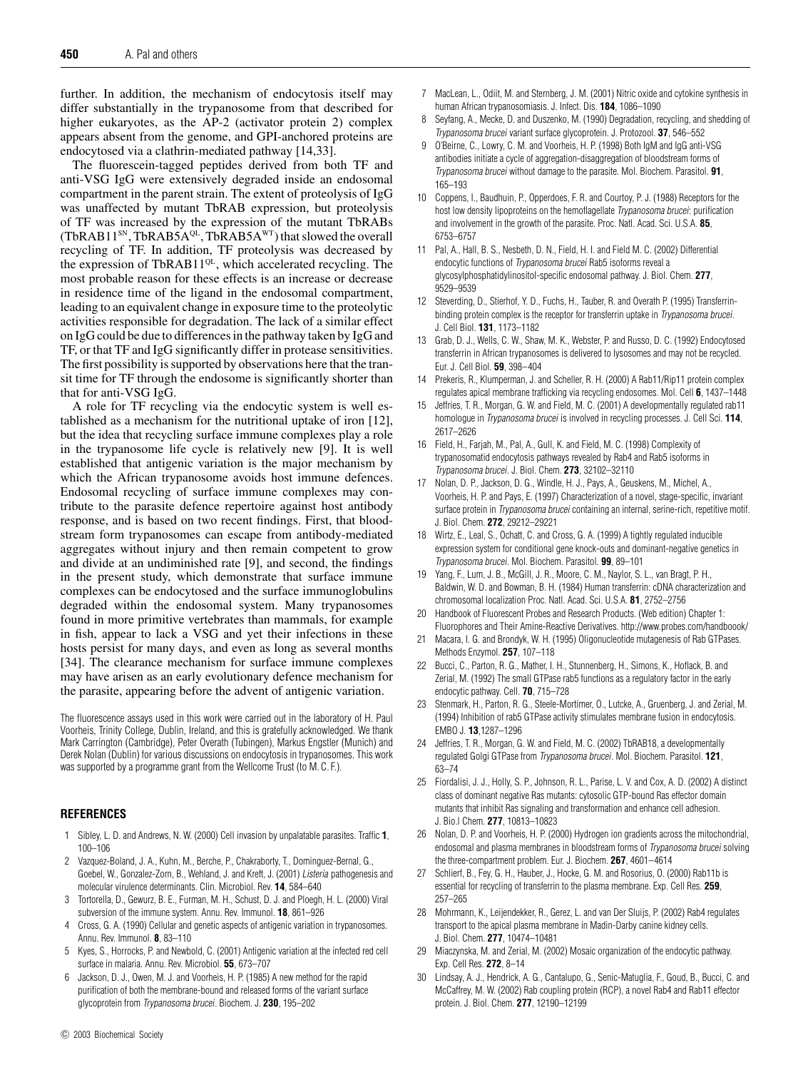further. In addition, the mechanism of endocytosis itself may differ substantially in the trypanosome from that described for higher eukaryotes, as the AP-2 (activator protein 2) complex appears absent from the genome, and GPI-anchored proteins are endocytosed via a clathrin-mediated pathway [14,33].

The fluorescein-tagged peptides derived from both TF and anti-VSG IgG were extensively degraded inside an endosomal compartment in the parent strain. The extent of proteolysis of IgG was unaffected by mutant TbRAB expression, but proteolysis of TF was increased by the expression of the mutant TbRABs (TbRAB11<sup>SN</sup>, TbRAB5A<sup>QL</sup>, TbRAB5A<sup>WT</sup>) that slowed the overall recycling of TF. In addition, TF proteolysis was decreased by the expression of TbRAB11<sup>QL</sup>, which accelerated recycling. The most probable reason for these effects is an increase or decrease in residence time of the ligand in the endosomal compartment, leading to an equivalent change in exposure time to the proteolytic activities responsible for degradation. The lack of a similar effect on IgG could be due to differences in the pathway taken by IgG and TF, or that TF and IgG significantly differ in protease sensitivities. The first possibility is supported by observations here that the transit time for TF through the endosome is significantly shorter than that for anti-VSG IgG.

A role for TF recycling via the endocytic system is well established as a mechanism for the nutritional uptake of iron [12], but the idea that recycling surface immune complexes play a role in the trypanosome life cycle is relatively new [9]. It is well established that antigenic variation is the major mechanism by which the African trypanosome avoids host immune defences. Endosomal recycling of surface immune complexes may contribute to the parasite defence repertoire against host antibody response, and is based on two recent findings. First, that bloodstream form trypanosomes can escape from antibody-mediated aggregates without injury and then remain competent to grow and divide at an undiminished rate [9], and second, the findings in the present study, which demonstrate that surface immune complexes can be endocytosed and the surface immunoglobulins degraded within the endosomal system. Many trypanosomes found in more primitive vertebrates than mammals, for example in fish, appear to lack a VSG and yet their infections in these hosts persist for many days, and even as long as several months [34]. The clearance mechanism for surface immune complexes may have arisen as an early evolutionary defence mechanism for the parasite, appearing before the advent of antigenic variation.

The fluorescence assays used in this work were carried out in the laboratory of H. Paul Voorheis, Trinity College, Dublin, Ireland, and this is gratefully acknowledged. We thank Mark Carrington (Cambridge), Peter Overath (Tubingen), Markus Engstler (Munich) and Derek Nolan (Dublin) for various discussions on endocytosis in trypanosomes. This work was supported by a programme grant from the Wellcome Trust (to M. C. F.).

# **REFERENCES**

- 1 Sibley, L. D. and Andrews, N. W. (2000) Cell invasion by unpalatable parasites. Traffic **1**, 100–106
- 2 Vazquez-Boland, J. A., Kuhn, M., Berche, P., Chakraborty, T., Dominguez-Bernal, G., Goebel, W., Gonzalez-Zorn, B., Wehland, J. and Kreft, J. (2001) Listeria pathogenesis and molecular virulence determinants. Clin. Microbiol. Rev. **14**, 584–640
- 3 Tortorella, D., Gewurz, B. E., Furman, M. H., Schust, D. J. and Ploegh, H. L. (2000) Viral subversion of the immune system. Annu. Rev. Immunol. **18**, 861–926
- 4 Cross, G. A. (1990) Cellular and genetic aspects of antigenic variation in trypanosomes. Annu. Rev. Immunol. **8**, 83–110
- 5 Kyes, S., Horrocks, P. and Newbold, C. (2001) Antigenic variation at the infected red cell surface in malaria. Annu. Rev. Microbiol. **55**, 673–707
- 6 Jackson, D. J., Owen, M. J. and Voorheis, H. P. (1985) A new method for the rapid purification of both the membrane-bound and released forms of the variant surface glycoprotein from Trypanosoma brucei. Biochem. J. **230**, 195–202
- 7 MacLean, L., Odiit, M. and Sternberg, J. M. (2001) Nitric oxide and cytokine synthesis in human African trypanosomiasis. J. Infect. Dis. **184**, 1086–1090
- 8 Seyfang, A., Mecke, D. and Duszenko, M. (1990) Degradation, recycling, and shedding of Trypanosoma brucei variant surface glycoprotein. J. Protozool. **37**, 546–552
- 9 O'Beirne, C., Lowry, C. M. and Voorheis, H. P. (1998) Both IgM and IgG anti-VSG antibodies initiate a cycle of aggregation-disaggregation of bloodstream forms of Trypanosoma brucei without damage to the parasite. Mol. Biochem. Parasitol. **91**, 165–193
- 10 Coppens, I., Baudhuin, P., Opperdoes, F. R. and Courtoy, P. J. (1988) Receptors for the host low density lipoproteins on the hemoflagellate Trypanosoma brucei: purification and involvement in the growth of the parasite. Proc. Natl. Acad. Sci. U.S.A. **85**, 6753–6757
- 11 Pal, A., Hall, B. S., Nesbeth, D. N., Field, H. I. and Field M. C. (2002) Differential endocytic functions of Trypanosoma brucei Rab5 isoforms reveal a glycosylphosphatidylinositol-specific endosomal pathway. J. Biol. Chem. **277**, 9529–9539
- 12 Steverding, D., Stierhof, Y. D., Fuchs, H., Tauber, R. and Overath P. (1995) Transferrinbinding protein complex is the receptor for transferrin uptake in Trypanosoma brucei. J. Cell Biol. **131**, 1173–1182
- 13 Grab, D. J., Wells, C. W., Shaw, M. K., Webster, P. and Russo, D. C. (1992) Endocytosed transferrin in African trypanosomes is delivered to lysosomes and may not be recycled. Eur. J. Cell Biol. **59**, 398–404
- 14 Prekeris, R., Klumperman, J. and Scheller, R. H. (2000) A Rab11/Rip11 protein complex regulates apical membrane trafficking via recycling endosomes. Mol. Cell **6**, 1437–1448
- 15 Jeffries, T. R., Morgan, G. W. and Field, M. C. (2001) A developmentally regulated rab11 homologue in Trypanosoma brucei is involved in recycling processes. J. Cell Sci. **114**, 2617–2626
- 16 Field, H., Farjah, M., Pal, A., Gull, K. and Field, M. C. (1998) Complexity of trypanosomatid endocytosis pathways revealed by Rab4 and Rab5 isoforms in Trypanosoma brucei. J. Biol. Chem. **273**, 32102–32110
- 17 Nolan, D. P., Jackson, D. G., Windle, H. J., Pays, A., Geuskens, M., Michel, A., Voorheis, H. P. and Pays, E. (1997) Characterization of a novel, stage-specific, invariant surface protein in Trypanosoma brucei containing an internal, serine-rich, repetitive motif. J. Biol. Chem. **272**, 29212–29221
- 18 Wirtz, E., Leal, S., Ochatt, C. and Cross, G. A. (1999) A tightly regulated inducible expression system for conditional gene knock-outs and dominant-negative genetics in Trypanosoma brucei. Mol. Biochem. Parasitol. **99**, 89–101
- 19 Yang, F., Lum, J. B., McGill, J. R., Moore, C. M., Naylor, S. L., van Bragt, P. H., Baldwin, W. D. and Bowman, B. H. (1984) Human transferrin: cDNA characterization and chromosomal localization Proc. Natl. Acad. Sci. U.S.A. **81**, 2752–2756
- 20 Handbook of Fluorescent Probes and Research Products. (Web edition) Chapter 1: Fluorophores and Their Amine-Reactive Derivatives. http://www.probes.com/handboook/
- 21 Macara, I. G. and Brondyk, W. H. (1995) Oligonucleotide mutagenesis of Rab GTPases. Methods Enzymol. **257**, 107–118
- 22 Bucci, C., Parton, R. G., Mather, I. H., Stunnenberg, H., Simons, K., Hoflack, B. and Zerial, M. (1992) The small GTPase rab5 functions as a regulatory factor in the early endocytic pathway. Cell. **70**, 715–728
- 23 Stenmark, H., Parton, R. G., Steele-Mortimer, O., Lutcke, A., Gruenberg, J. and Zerial, M. (1994) Inhibition of rab5 GTPase activity stimulates membrane fusion in endocytosis. EMBO J. **13**,1287–1296
- 24 Jeffries, T. R., Morgan, G. W. and Field, M. C. (2002) TbRAB18, a developmentally regulated Golgi GTPase from Trypanosoma brucei. Mol. Biochem. Parasitol. **121**, 63–74
- 25 Fiordalisi, J. J., Holly, S. P., Johnson, R. L., Parise, L. V. and Cox, A. D. (2002) A distinct class of dominant negative Ras mutants: cytosolic GTP-bound Ras effector domain mutants that inhibit Ras signaling and transformation and enhance cell adhesion. J. Bio.l Chem. **277**, 10813–10823
- 26 Nolan, D. P. and Voorheis, H. P. (2000) Hydrogen ion gradients across the mitochondrial, endosomal and plasma membranes in bloodstream forms of Trypanosoma brucei solving the three-compartment problem. Eur. J. Biochem. **267**, 4601–4614
- 27 Schlierf, B., Fey, G. H., Hauber, J., Hocke, G. M. and Rosorius, O. (2000) Rab11b is essential for recycling of transferrin to the plasma membrane. Exp. Cell Res. **259**, 257–265
- 28 Mohrmann, K., Leijendekker, R., Gerez, L. and van Der Sluijs, P. (2002) Rab4 regulates transport to the apical plasma membrane in Madin-Darby canine kidney cells. J. Biol. Chem. **277**, 10474–10481
- 29 Miaczynska, M. and Zerial, M. (2002) Mosaic organization of the endocytic pathway. Exp. Cell Res. **272**, 8–14
- 30 Lindsay, A. J., Hendrick, A. G., Cantalupo, G., Senic-Matuglia, F., Goud, B., Bucci, C. and McCaffrey, M. W. (2002) Rab coupling protein (RCP), a novel Rab4 and Rab11 effector protein. J. Biol. Chem. **277**, 12190–12199